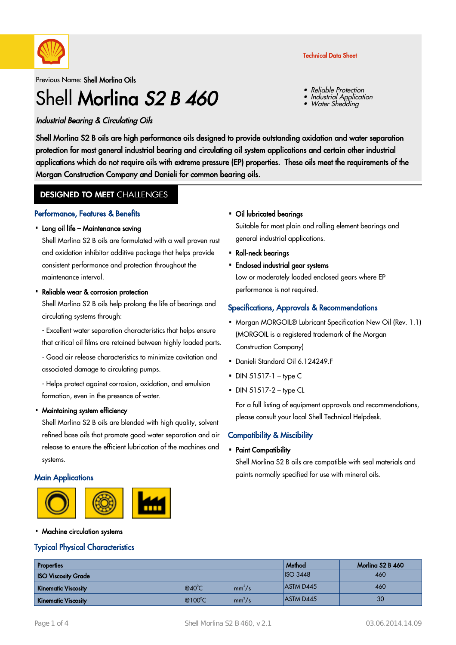

#### Previous Name: Shell Morlina Oils

# Shell Morling S<sub>2</sub> B 460

### Industrial Bearing & Circulating Oils

Shell Morlina S2 B oils are high performance oils designed to provide outstanding oxidation and water separation protection for most general industrial bearing and circulating oil system applications and certain other industrial applications which do not require oils with extreme pressure (EP) properties. These oils meet the requirements of the Morgan Construction Company and Danieli for common bearing oils.

### **DESIGNED TO MEET CHALLENGES**

### Performance, Features & Benefits

# • Long oil life – Maintenance saving

Shell Morlina S2 B oils are formulated with a well proven rust and oxidation inhibitor additive package that helps provide consistent performance and protection throughout the maintenance interval.

#### • Reliable wear & corrosion protection

Shell Morlina S2 B oils help prolong the life of bearings and circulating systems through:

- Excellent water separation characteristics that helps ensure that critical oil films are retained between highly loaded parts.

- Good air release characteristics to minimize cavitation and associated damage to circulating pumps.

- Helps protect against corrosion, oxidation, and emulsion formation, even in the presence of water.

# Maintaining system efficiency ·

Shell Morlina S2 B oils are blended with high quality, solvent refined base oils that promote good water separation and air release to ensure the efficient lubrication of the machines and systems.

### **Main Applications**



# • Oil lubricated bearings

Suitable for most plain and rolling element bearings and general industrial applications.

- Roll-neck bearings
- Enclosed industrial gear systems Low or moderately loaded enclosed gears where EP performance is not required.

### Specifications, Approvals & Recommendations

- . Morgan MORGOIL® Lubricant Specification New Oil (Rev. 1.1) (MORGOIL is a registered trademark of the Morgan Construction Company)
- Danieli Standard Oil 6.124249.F
- $\bullet$  DIN 51517-1 type C
- $\cdot$  DIN 51517-2 type CL

For a full listing of equipment approvals and recommendations, please consult your local Shell Technical Helpdesk.

### Compatibility & Miscibility

# • Paint Compatibility

Shell Morlina S2 B oils are compatible with seal materials and paints normally specified for use with mineral oils.

• Machine circulation systems

### Typical Physical Characteristics

| Properties                 |                           |                    | Method           | Morling S2 B 460 |
|----------------------------|---------------------------|--------------------|------------------|------------------|
| <b>ISO Viscosity Grade</b> |                           |                    | $ $ ISO 3448     | 460              |
| <b>Kinematic Viscosity</b> | @40 $^{\circ}$ C          | mm <sup>2</sup> /s | <b>ASTM D445</b> | 460              |
| Kinematic Viscosity        | @100 $\mathrm{^{\circ}C}$ | $mm^2/s$           | <b>ASTM D445</b> | 30               |

#### Technical Data Sheet

Reliable Protection

Water Shedding

Industrial Application

•

•

•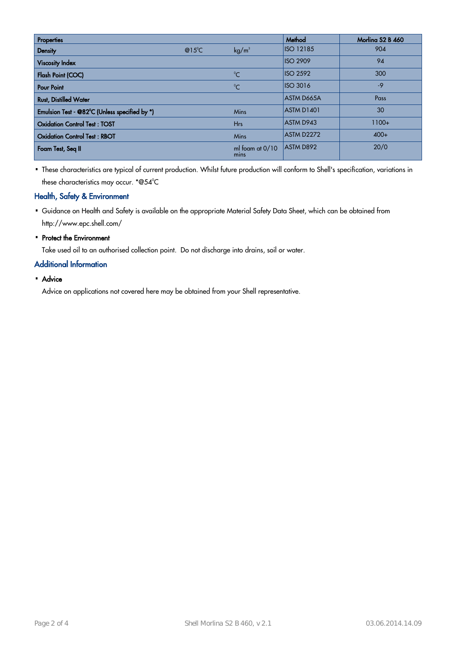| <b>Properties</b>                             |                  |                           | Method            | Morlina S2 B 460 |
|-----------------------------------------------|------------------|---------------------------|-------------------|------------------|
| <b>Density</b>                                | @15 $^{\circ}$ C | kg/m <sup>3</sup>         | <b>ISO 12185</b>  | 904              |
| <b>Viscosity Index</b>                        |                  |                           | <b>ISO 2909</b>   | 94               |
| Flash Point (COC)                             |                  | $\rm ^{0}C$               | <b>ISO 2592</b>   | 300              |
| <b>Pour Point</b>                             |                  | $^{\circ}$ C              | <b>ISO 3016</b>   | $-9$             |
| <b>Rust, Distilled Water</b>                  |                  |                           | <b>ASTM D665A</b> | Pass             |
| Emulsion Test - @82°C (Unless specified by *) |                  | <b>Mins</b>               | <b>ASTM D1401</b> | 30               |
| <b>Oxidation Control Test: TOST</b>           |                  | <b>Hrs</b>                | ASTM D943         | $1100+$          |
| <b>Oxidation Control Test: RBOT</b>           |                  | <b>Mins</b>               | ASTM D2272        | $400+$           |
| Foam Test, Seq II                             |                  | ml foam at $0/10$<br>mins | <b>ASTM D892</b>  | 20/0             |

· These characteristics are typical of current production. Whilst future production will conform to Shell's specification, variations in these characteristics may occur.  $^{\ast} @ 54^{\circ} \text{C}$ 

### Health, Safety & Environment

- Guidance on Health and Safety is available on the appropriate Material Safety Data Sheet, which can be obtained from · http://www.epc.shell.com/
- Protect the Environment

Take used oil to an authorised collection point. Do not discharge into drains, soil or water.

### Additional Information

• Advice

Advice on applications not covered here may be obtained from your Shell representative.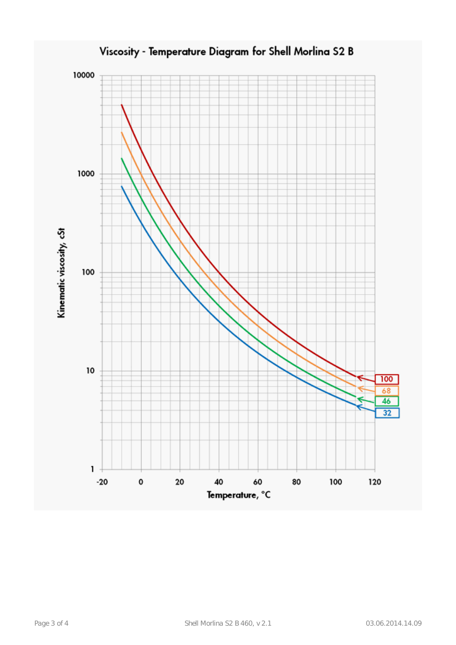

Viscosity - Temperature Diagram for Shell Morlina S2 B